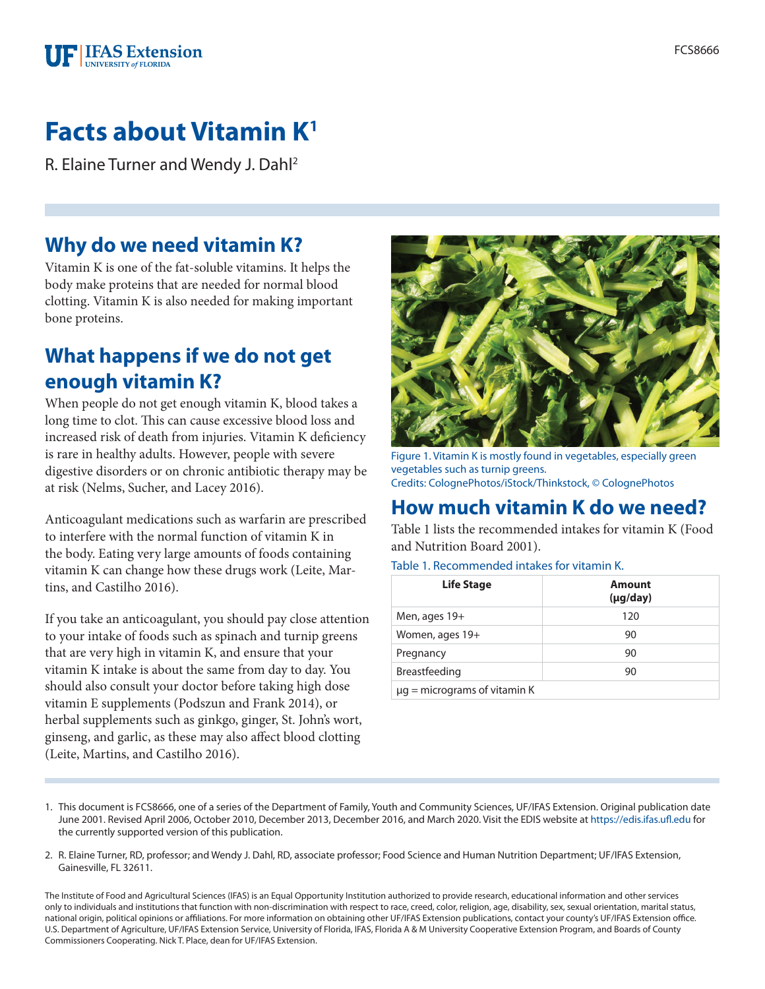

# **Facts about Vitamin K1**

R. Elaine Turner and Wendy J. Dahl2

### **Why do we need vitamin K?**

Vitamin K is one of the fat-soluble vitamins. It helps the body make proteins that are needed for normal blood clotting. Vitamin K is also needed for making important bone proteins.

# **What happens if we do not get enough vitamin K?**

When people do not get enough vitamin K, blood takes a long time to clot. This can cause excessive blood loss and increased risk of death from injuries. Vitamin K deficiency is rare in healthy adults. However, people with severe digestive disorders or on chronic antibiotic therapy may be at risk (Nelms, Sucher, and Lacey 2016).

Anticoagulant medications such as warfarin are prescribed to interfere with the normal function of vitamin K in the body. Eating very large amounts of foods containing vitamin K can change how these drugs work (Leite, Martins, and Castilho 2016).

If you take an anticoagulant, you should pay close attention to your intake of foods such as spinach and turnip greens that are very high in vitamin K, and ensure that your vitamin K intake is about the same from day to day. You should also consult your doctor before taking high dose vitamin E supplements (Podszun and Frank 2014), or herbal supplements such as ginkgo, ginger, St. John's wort, ginseng, and garlic, as these may also affect blood clotting (Leite, Martins, and Castilho 2016).



Figure 1. Vitamin K is mostly found in vegetables, especially green vegetables such as turnip greens. Credits: ColognePhotos/iStock/Thinkstock, © ColognePhotos

# **How much vitamin K do we need?**

Table 1 lists the recommended intakes for vitamin K (Food and Nutrition Board 2001).

Table 1. Recommended intakes for vitamin K.

| <b>Life Stage</b>                 | <b>Amount</b><br>$(\mu g / day)$ |
|-----------------------------------|----------------------------------|
| Men, ages 19+                     | 120                              |
| Women, ages 19+                   | 90                               |
| Pregnancy                         | 90                               |
| Breastfeeding                     | 90                               |
| $\mu$ g = micrograms of vitamin K |                                  |

- 1. This document is FCS8666, one of a series of the Department of Family, Youth and Community Sciences, UF/IFAS Extension. Original publication date June 2001. Revised April 2006, October 2010, December 2013, December 2016, and March 2020. Visit the EDIS website at <https://edis.ifas.ufl.edu> for the currently supported version of this publication.
- 2. R. Elaine Turner, RD, professor; and Wendy J. Dahl, RD, associate professor; Food Science and Human Nutrition Department; UF/IFAS Extension, Gainesville, FL 32611.

The Institute of Food and Agricultural Sciences (IFAS) is an Equal Opportunity Institution authorized to provide research, educational information and other services only to individuals and institutions that function with non-discrimination with respect to race, creed, color, religion, age, disability, sex, sexual orientation, marital status, national origin, political opinions or affiliations. For more information on obtaining other UF/IFAS Extension publications, contact your county's UF/IFAS Extension office. U.S. Department of Agriculture, UF/IFAS Extension Service, University of Florida, IFAS, Florida A & M University Cooperative Extension Program, and Boards of County Commissioners Cooperating. Nick T. Place, dean for UF/IFAS Extension.